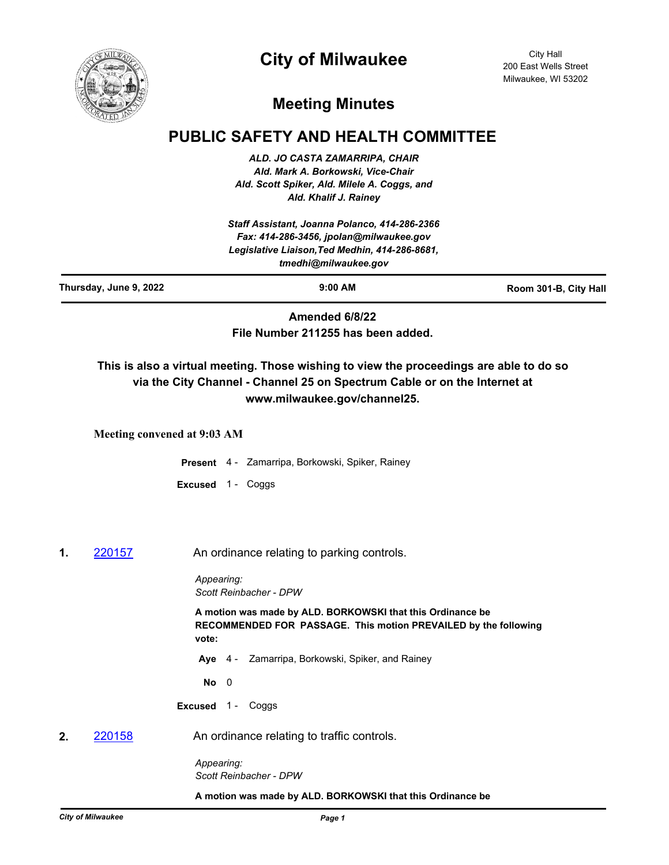



City Hall 200 East Wells Street Milwaukee, WI 53202

## **Meeting Minutes**

## **PUBLIC SAFETY AND HEALTH COMMITTEE**

*ALD. JO CASTA ZAMARRIPA, CHAIR Ald. Mark A. Borkowski, Vice-Chair Ald. Scott Spiker, Ald. Milele A. Coggs, and Ald. Khalif J. Rainey*

*Staff Assistant, Joanna Polanco, 414-286-2366 Fax: 414-286-3456, jpolan@milwaukee.gov Legislative Liaison,Ted Medhin, 414-286-8681, tmedhi@milwaukee.gov*

**Thursday, June 9, 2022 9:00 AM Room 301-B, City Hall**

**Amended 6/8/22 File Number 211255 has been added.**

**This is also a virtual meeting. Those wishing to view the proceedings are able to do so via the City Channel - Channel 25 on Spectrum Cable or on the Internet at www.milwaukee.gov/channel25.**

**Meeting convened at 9:03 AM**

**Present** 4 - Zamarripa, Borkowski, Spiker, Rainey

- **Excused** 1 Coggs
- **1. [220157](http://milwaukee.legistar.com/gateway.aspx?m=l&id=/matter.aspx?key=62258) An ordinance relating to parking controls.**

*Appearing: Scott Reinbacher - DPW*

**A motion was made by ALD. BORKOWSKI that this Ordinance be RECOMMENDED FOR PASSAGE. This motion PREVAILED by the following vote:**

**Aye** 4 - Zamarripa, Borkowski, Spiker, and Rainey

**No** 0

**Excused** 1 - Coggs

**2.** [220158](http://milwaukee.legistar.com/gateway.aspx?m=l&id=/matter.aspx?key=62259) An ordinance relating to traffic controls.

*Appearing: Scott Reinbacher - DPW*

**A motion was made by ALD. BORKOWSKI that this Ordinance be**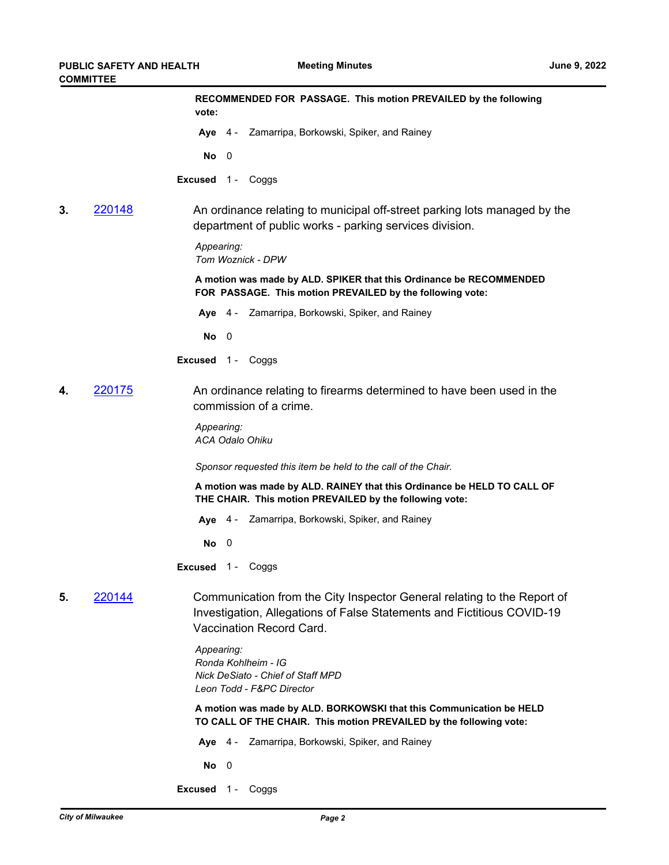|    |        | RECOMMENDED FOR PASSAGE. This motion PREVAILED by the following<br>vote:                                                                                                      |
|----|--------|-------------------------------------------------------------------------------------------------------------------------------------------------------------------------------|
|    |        | Aye 4 - Zamarripa, Borkowski, Spiker, and Rainey                                                                                                                              |
|    |        | No<br>- 0                                                                                                                                                                     |
|    |        | <b>Excused</b> 1 - Coggs                                                                                                                                                      |
| 3. | 220148 | An ordinance relating to municipal off-street parking lots managed by the<br>department of public works - parking services division.                                          |
|    |        | Appearing:<br>Tom Woznick - DPW                                                                                                                                               |
|    |        | A motion was made by ALD. SPIKER that this Ordinance be RECOMMENDED<br>FOR PASSAGE. This motion PREVAILED by the following vote:                                              |
|    |        | Aye 4 - Zamarripa, Borkowski, Spiker, and Rainey                                                                                                                              |
|    |        | No<br>- 0                                                                                                                                                                     |
|    |        | <b>Excused</b> 1 - Coggs                                                                                                                                                      |
| 4. | 220175 | An ordinance relating to firearms determined to have been used in the<br>commission of a crime.                                                                               |
|    |        | Appearing:<br><b>ACA Odalo Ohiku</b>                                                                                                                                          |
|    |        | Sponsor requested this item be held to the call of the Chair.                                                                                                                 |
|    |        | A motion was made by ALD. RAINEY that this Ordinance be HELD TO CALL OF<br>THE CHAIR. This motion PREVAILED by the following vote:                                            |
|    |        | Aye 4 - Zamarripa, Borkowski, Spiker, and Rainey                                                                                                                              |
|    |        | No<br>0                                                                                                                                                                       |
|    |        | <b>Excused</b> 1 - Coggs                                                                                                                                                      |
| 5. | 220144 | Communication from the City Inspector General relating to the Report of<br>Investigation, Allegations of False Statements and Fictitious COVID-19<br>Vaccination Record Card. |
|    |        | Appearing:<br>Ronda Kohlheim - IG<br><b>Nick DeSiato - Chief of Staff MPD</b><br>Leon Todd - F&PC Director                                                                    |
|    |        | A motion was made by ALD. BORKOWSKI that this Communication be HELD<br>TO CALL OF THE CHAIR. This motion PREVAILED by the following vote:                                     |
|    |        | Aye 4 - Zamarripa, Borkowski, Spiker, and Rainey                                                                                                                              |
|    |        | No<br>- 0                                                                                                                                                                     |
|    |        | Excused 1 - Coggs                                                                                                                                                             |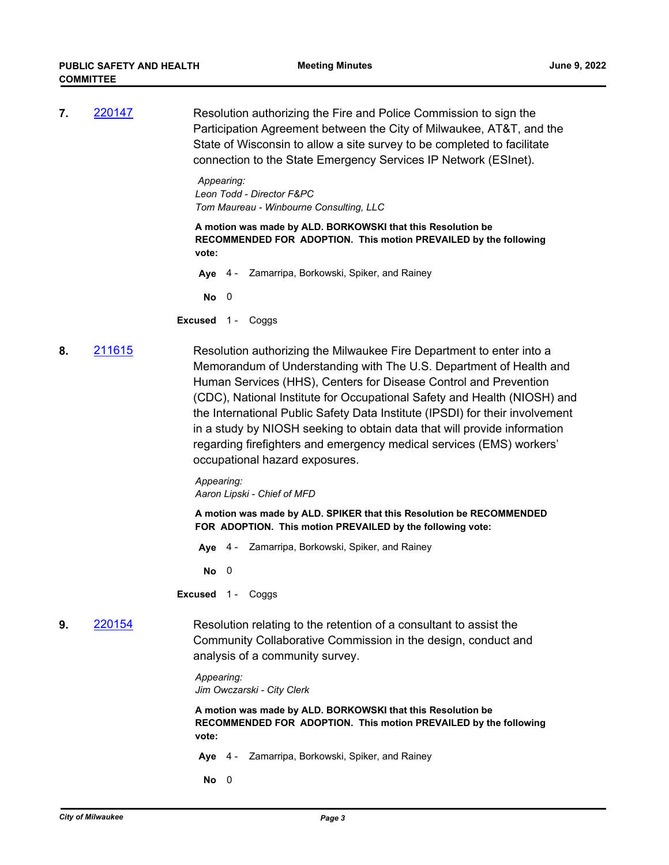**7.** [220147](http://milwaukee.legistar.com/gateway.aspx?m=l&id=/matter.aspx?key=62240) Resolution authorizing the Fire and Police Commission to sign the Participation Agreement between the City of Milwaukee, AT&T, and the State of Wisconsin to allow a site survey to be completed to facilitate connection to the State Emergency Services IP Network (ESInet).

> *Appearing: Leon Todd - Director F&PC Tom Maureau - Winbourne Consulting, LLC*

**A motion was made by ALD. BORKOWSKI that this Resolution be RECOMMENDED FOR ADOPTION. This motion PREVAILED by the following vote:**

**Aye** 4 - Zamarripa, Borkowski, Spiker, and Rainey

**No** 0

**Excused** 1 - Coggs

**8.** [211615](http://milwaukee.legistar.com/gateway.aspx?m=l&id=/matter.aspx?key=61325) Resolution authorizing the Milwaukee Fire Department to enter into a Memorandum of Understanding with The U.S. Department of Health and Human Services (HHS), Centers for Disease Control and Prevention (CDC), National Institute for Occupational Safety and Health (NIOSH) and the International Public Safety Data Institute (IPSDI) for their involvement in a study by NIOSH seeking to obtain data that will provide information regarding firefighters and emergency medical services (EMS) workers' occupational hazard exposures.

> *Appearing: Aaron Lipski - Chief of MFD*

**A motion was made by ALD. SPIKER that this Resolution be RECOMMENDED FOR ADOPTION. This motion PREVAILED by the following vote:**

**Aye** 4 - Zamarripa, Borkowski, Spiker, and Rainey

**No** 0

**Excused** 1 - Coggs

**9.** [220154](http://milwaukee.legistar.com/gateway.aspx?m=l&id=/matter.aspx?key=62255) Resolution relating to the retention of a consultant to assist the Community Collaborative Commission in the design, conduct and analysis of a community survey.

> *Appearing: Jim Owczarski - City Clerk*

**A motion was made by ALD. BORKOWSKI that this Resolution be RECOMMENDED FOR ADOPTION. This motion PREVAILED by the following vote:**

**Aye** 4 - Zamarripa, Borkowski, Spiker, and Rainey

**No** 0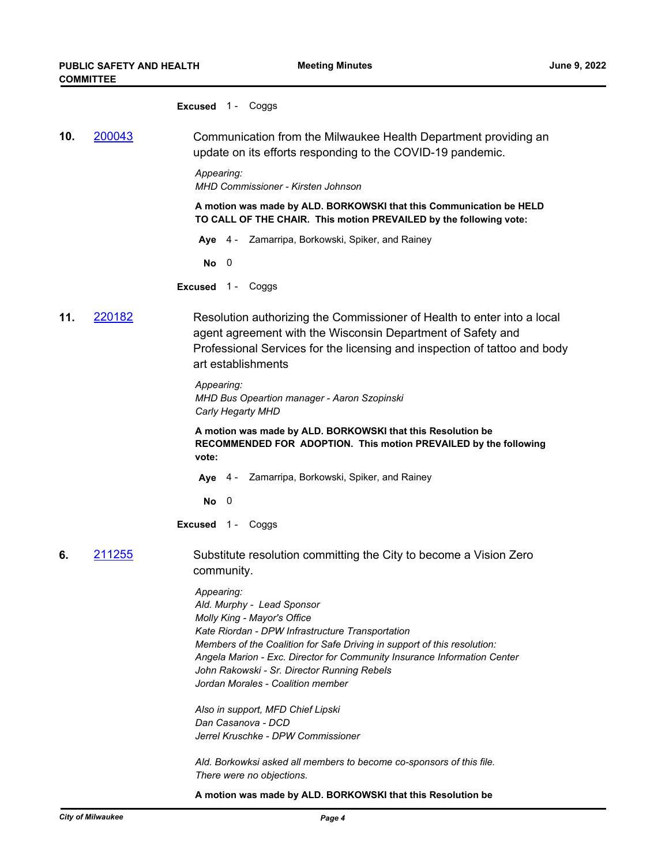| <b>Excused</b> |  | Coggs |
|----------------|--|-------|
|----------------|--|-------|

**10.** [200043](http://milwaukee.legistar.com/gateway.aspx?m=l&id=/matter.aspx?key=54349) Communication from the Milwaukee Health Department providing an update on its efforts responding to the COVID-19 pandemic.

> *Appearing: MHD Commissioner - Kirsten Johnson*

**A motion was made by ALD. BORKOWSKI that this Communication be HELD TO CALL OF THE CHAIR. This motion PREVAILED by the following vote:**

**Aye** 4 - Zamarripa, Borkowski, Spiker, and Rainey

**No** 0

**Excused** 1 - Coggs

**11.** [220182](http://milwaukee.legistar.com/gateway.aspx?m=l&id=/matter.aspx?key=62290) Resolution authorizing the Commissioner of Health to enter into a local agent agreement with the Wisconsin Department of Safety and Professional Services for the licensing and inspection of tattoo and body art establishments

> *Appearing: MHD Bus Opeartion manager - Aaron Szopinski Carly Hegarty MHD*

**A motion was made by ALD. BORKOWSKI that this Resolution be RECOMMENDED FOR ADOPTION. This motion PREVAILED by the following vote:**

- **Aye** 4 Zamarripa, Borkowski, Spiker, and Rainey
- **No** 0

**Excused** 1 - Coggs

**6.** [211255](http://milwaukee.legistar.com/gateway.aspx?m=l&id=/matter.aspx?key=60806) Substitute resolution committing the City to become a Vision Zero community.

> *Appearing: Ald. Murphy - Lead Sponsor Molly King - Mayor's Office Kate Riordan - DPW Infrastructure Transportation Members of the Coalition for Safe Driving in support of this resolution: Angela Marion - Exc. Director for Community Insurance Information Center John Rakowski - Sr. Director Running Rebels Jordan Morales - Coalition member*

*Also in support, MFD Chief Lipski Dan Casanova - DCD Jerrel Kruschke - DPW Commissioner*

*Ald. Borkowksi asked all members to become co-sponsors of this file. There were no objections.*

**A motion was made by ALD. BORKOWSKI that this Resolution be**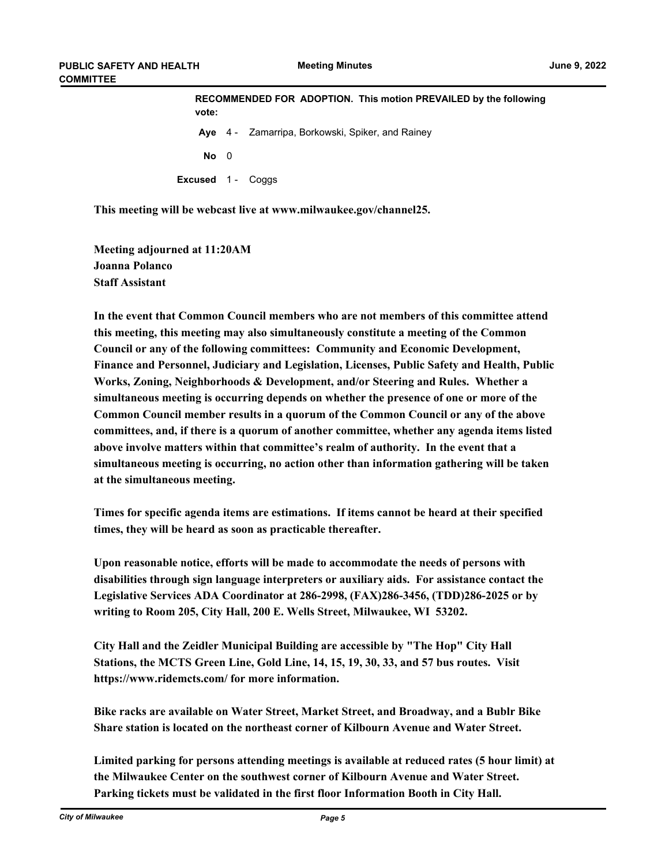| vote:                    | RECOMMENDED FOR ADOPTION. This motion PREVAILED by the following |                                                  |  |
|--------------------------|------------------------------------------------------------------|--------------------------------------------------|--|
|                          |                                                                  | Aye 4 - Zamarripa, Borkowski, Spiker, and Rainey |  |
| $No$ 0                   |                                                                  |                                                  |  |
| <b>Excused</b> 1 - Coggs |                                                                  |                                                  |  |

**This meeting will be webcast live at www.milwaukee.gov/channel25.**

**Meeting adjourned at 11:20AM Joanna Polanco Staff Assistant**

**In the event that Common Council members who are not members of this committee attend this meeting, this meeting may also simultaneously constitute a meeting of the Common Council or any of the following committees: Community and Economic Development, Finance and Personnel, Judiciary and Legislation, Licenses, Public Safety and Health, Public Works, Zoning, Neighborhoods & Development, and/or Steering and Rules. Whether a simultaneous meeting is occurring depends on whether the presence of one or more of the Common Council member results in a quorum of the Common Council or any of the above committees, and, if there is a quorum of another committee, whether any agenda items listed above involve matters within that committee's realm of authority. In the event that a simultaneous meeting is occurring, no action other than information gathering will be taken at the simultaneous meeting.**

**Times for specific agenda items are estimations. If items cannot be heard at their specified times, they will be heard as soon as practicable thereafter.**

**Upon reasonable notice, efforts will be made to accommodate the needs of persons with disabilities through sign language interpreters or auxiliary aids. For assistance contact the Legislative Services ADA Coordinator at 286-2998, (FAX)286-3456, (TDD)286-2025 or by writing to Room 205, City Hall, 200 E. Wells Street, Milwaukee, WI 53202.**

**City Hall and the Zeidler Municipal Building are accessible by "The Hop" City Hall Stations, the MCTS Green Line, Gold Line, 14, 15, 19, 30, 33, and 57 bus routes. Visit https://www.ridemcts.com/ for more information.**

**Bike racks are available on Water Street, Market Street, and Broadway, and a Bublr Bike Share station is located on the northeast corner of Kilbourn Avenue and Water Street.**

**Limited parking for persons attending meetings is available at reduced rates (5 hour limit) at the Milwaukee Center on the southwest corner of Kilbourn Avenue and Water Street. Parking tickets must be validated in the first floor Information Booth in City Hall.**